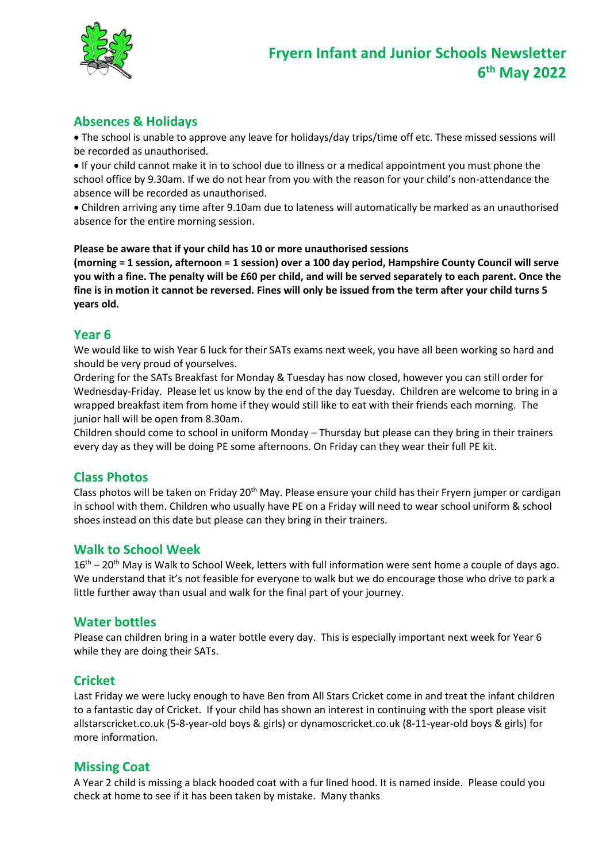

# **Absences & Holidays**

 The school is unable to approve any leave for holidays/day trips/time off etc. These missed sessions will be recorded as unauthorised.

 If your child cannot make it in to school due to illness or a medical appointment you must phone the school office by 9.30am. If we do not hear from you with the reason for your child's non-attendance the absence will be recorded as unauthorised.

 Children arriving any time after 9.10am due to lateness will automatically be marked as an unauthorised absence for the entire morning session.

#### **Please be aware that if your child has 10 or more unauthorised sessions**

**(morning = 1 session, afternoon = 1 session) over a 100 day period, Hampshire County Council will serve you with a fine. The penalty will be £60 per child, and will be served separately to each parent. Once the fine is in motion it cannot be reversed. Fines will only be issued from the term after your child turns 5 years old.**

#### **Year 6**

We would like to wish Year 6 luck for their SATs exams next week, you have all been working so hard and should be very proud of yourselves.

Ordering for the SATs Breakfast for Monday & Tuesday has now closed, however you can still order for Wednesday-Friday. Please let us know by the end of the day Tuesday. Children are welcome to bring in a wrapped breakfast item from home if they would still like to eat with their friends each morning. The junior hall will be open from 8.30am.

Children should come to school in uniform Monday – Thursday but please can they bring in their trainers every day as they will be doing PE some afternoons. On Friday can they wear their full PE kit.

#### **Class Photos**

Class photos will be taken on Friday 20<sup>th</sup> May. Please ensure your child has their Fryern jumper or cardigan in school with them. Children who usually have PE on a Friday will need to wear school uniform & school shoes instead on this date but please can they bring in their trainers.

#### **Walk to School Week**

 $16<sup>th</sup> - 20<sup>th</sup>$  May is Walk to School Week, letters with full information were sent home a couple of days ago. We understand that it's not feasible for everyone to walk but we do encourage those who drive to park a little further away than usual and walk for the final part of your journey.

#### **Water bottles**

Please can children bring in a water bottle every day. This is especially important next week for Year 6 while they are doing their SATs.

#### **Cricket**

Last Friday we were lucky enough to have Ben from All Stars Cricket come in and treat the infant children to a fantastic day of Cricket. If your child has shown an interest in continuing with the sport please visit allstarscricket.co.uk (5-8-year-old boys & girls) or dynamoscricket.co.uk (8-11-year-old boys & girls) for more information.

#### **Missing Coat**

A Year 2 child is missing a black hooded coat with a fur lined hood. It is named inside. Please could you check at home to see if it has been taken by mistake. Many thanks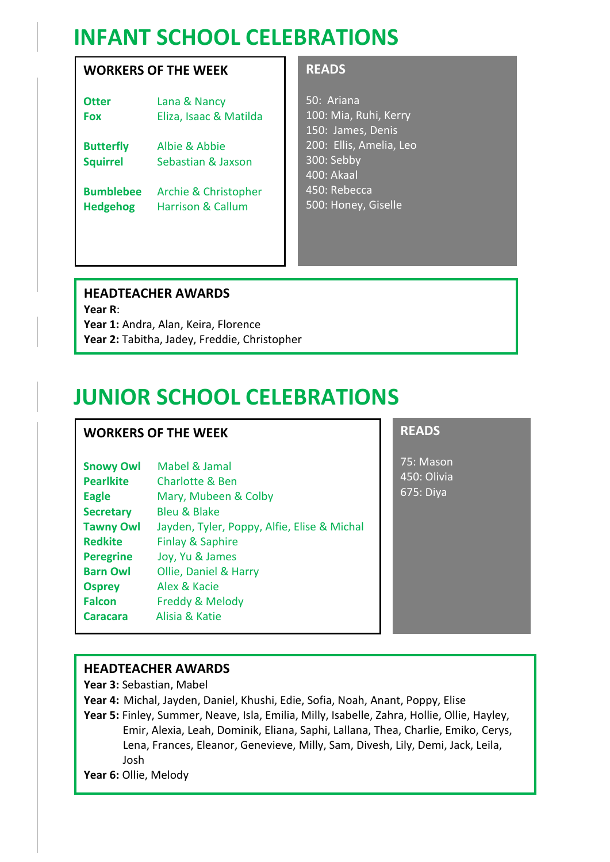# **INFANT SCHOOL CELEBRATIONS**

## **WORKERS OF THE WEEK**

| Otter       | Lana & Nancy                         |
|-------------|--------------------------------------|
| Fox         | Eliza, Isaac & Matilda               |
| Dusta afler | $\Delta$ lhin $\Omega$ $\Delta$ hhin |

**Butterfly** Albie & Abbie **Squirrel** Sebastian & Jaxson

**Bumblebee** Archie & Christopher **Hedgehog** Harrison & Callum

### **READS**

50: Ariana 100: Mia, Ruhi, Kerry 150: James, Denis 200: Ellis, Amelia, Leo 300: Sebby 400: Akaal 450: Rebecca 500: Honey, Giselle

# **HEADTEACHER AWARDS**

**Year R**: Year 1: Andra, Alan, Keira, Florence **Year 2:** Tabitha, Jadey, Freddie, Christopher

# **JUNIOR SCHOOL CELEBRATIONS**

# **WORKERS OF THE WEEK**

| <b>Snowy Owl</b> | Mabel & Jamal                               |
|------------------|---------------------------------------------|
| <b>Pearlkite</b> | Charlotte & Ben                             |
| <b>Eagle</b>     | Mary, Mubeen & Colby                        |
| <b>Secretary</b> | <b>Bleu &amp; Blake</b>                     |
| <b>Tawny Owl</b> | Jayden, Tyler, Poppy, Alfie, Elise & Michal |
| <b>Redkite</b>   | <b>Finlay &amp; Saphire</b>                 |
| <b>Peregrine</b> | Joy, Yu & James                             |
| <b>Barn Owl</b>  | Ollie, Daniel & Harry                       |
| <b>Osprey</b>    | Alex & Kacie                                |
| <b>Falcon</b>    | Freddy & Melody                             |
| Caracara         | Alisia & Katie                              |
|                  |                                             |

# **READS**

75: Mason 450: Olivia 675: Diya

### **HEADTEACHER AWARDS**

**Year 3:** Sebastian, Mabel

**Year 4:** Michal, Jayden, Daniel, Khushi, Edie, Sofia, Noah, Anant, Poppy, Elise

**Year 5:** Finley, Summer, Neave, Isla, Emilia, Milly, Isabelle, Zahra, Hollie, Ollie, Hayley, Emir, Alexia, Leah, Dominik, Eliana, Saphi, Lallana, Thea, Charlie, Emiko, Cerys, Lena, Frances, Eleanor, Genevieve, Milly, Sam, Divesh, Lily, Demi, Jack, Leila, Josh

**Year 6:** Ollie, Melody